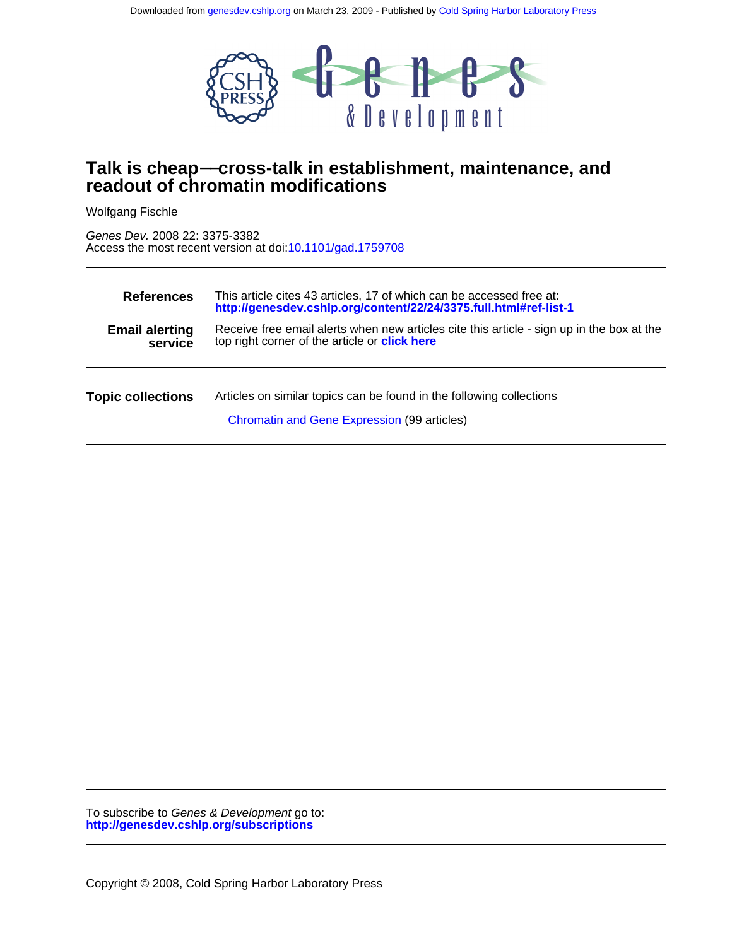

# **readout of chromatin modifications Talk is cheap**−−**cross-talk in establishment, maintenance, and**

Wolfgang Fischle

Access the most recent version at doi[:10.1101/gad.1759708](http://genesdev.cshlp.org/lookup/doi/10.1101/gad.1759708) Genes Dev. 2008 22: 3375-3382

| <b>References</b>                | This article cites 43 articles, 17 of which can be accessed free at:<br>http://genesdev.cshlp.org/content/22/24/3375.full.html#ref-list-1         |
|----------------------------------|---------------------------------------------------------------------------------------------------------------------------------------------------|
| <b>Email alerting</b><br>service | Receive free email alerts when new articles cite this article - sign up in the box at the<br>top right corner of the article or <b>click here</b> |
| <b>Topic collections</b>         | Articles on similar topics can be found in the following collections<br>Chromatin and Gene Expression (99 articles)                               |

**<http://genesdev.cshlp.org/subscriptions>** To subscribe to Genes & Development go to: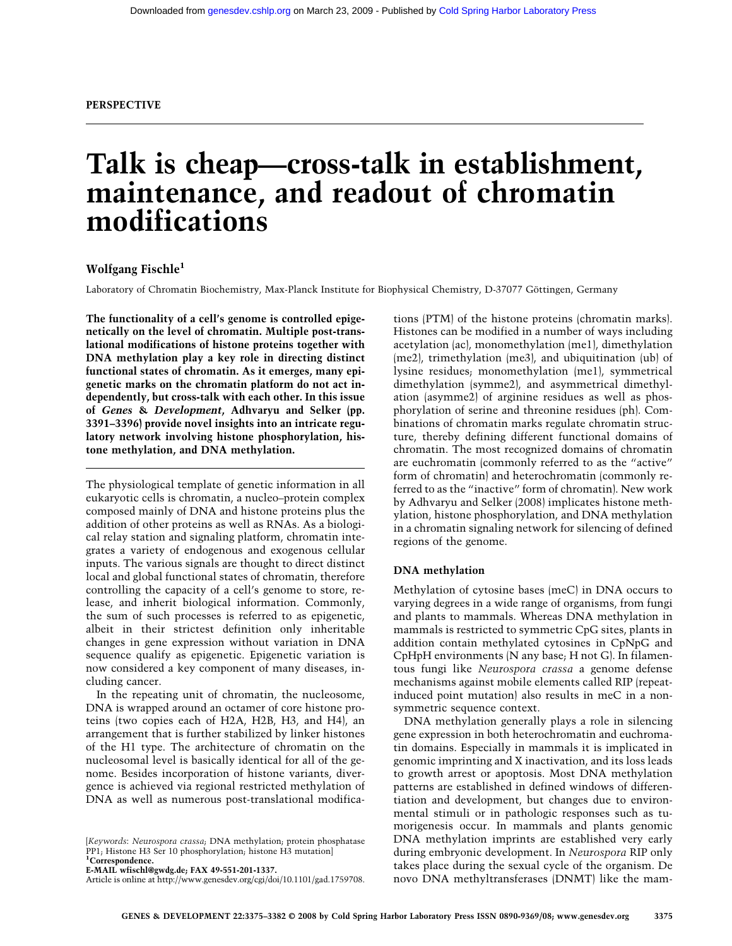# **Talk is cheap—cross-talk in establishment, maintenance, and readout of chromatin modifications**

# **Wolfgang Fischle1**

Laboratory of Chromatin Biochemistry, Max-Planck Institute for Biophysical Chemistry, D-37077 Göttingen, Germany

**The functionality of a cell's genome is controlled epigenetically on the level of chromatin. Multiple post-translational modifications of histone proteins together with DNA methylation play a key role in directing distinct functional states of chromatin. As it emerges, many epigenetic marks on the chromatin platform do not act independently, but cross-talk with each other. In this issue of** *Genes* **&** *Development***, Adhvaryu and Selker (pp. 3391–3396) provide novel insights into an intricate regulatory network involving histone phosphorylation, histone methylation, and DNA methylation.**

The physiological template of genetic information in all eukaryotic cells is chromatin, a nucleo–protein complex composed mainly of DNA and histone proteins plus the addition of other proteins as well as RNAs. As a biological relay station and signaling platform, chromatin integrates a variety of endogenous and exogenous cellular inputs. The various signals are thought to direct distinct local and global functional states of chromatin, therefore controlling the capacity of a cell's genome to store, release, and inherit biological information. Commonly, the sum of such processes is referred to as epigenetic, albeit in their strictest definition only inheritable changes in gene expression without variation in DNA sequence qualify as epigenetic. Epigenetic variation is now considered a key component of many diseases, including cancer.

In the repeating unit of chromatin, the nucleosome, DNA is wrapped around an octamer of core histone proteins (two copies each of H2A, H2B, H3, and H4), an arrangement that is further stabilized by linker histones of the H1 type. The architecture of chromatin on the nucleosomal level is basically identical for all of the genome. Besides incorporation of histone variants, divergence is achieved via regional restricted methylation of DNA as well as numerous post-translational modifica-

**E-MAIL wfischl@gwdg.de; FAX 49-551-201-1337.**

tions (PTM) of the histone proteins (chromatin marks). Histones can be modified in a number of ways including acetylation (ac), monomethylation (me1), dimethylation (me2), trimethylation (me3), and ubiquitination (ub) of lysine residues; monomethylation (me1), symmetrical dimethylation (symme2), and asymmetrical dimethylation (asymme2) of arginine residues as well as phosphorylation of serine and threonine residues (ph). Combinations of chromatin marks regulate chromatin structure, thereby defining different functional domains of chromatin. The most recognized domains of chromatin are euchromatin (commonly referred to as the "active" form of chromatin) and heterochromatin (commonly referred to as the "inactive" form of chromatin). New work by Adhvaryu and Selker (2008) implicates histone methylation, histone phosphorylation, and DNA methylation in a chromatin signaling network for silencing of defined regions of the genome.

# **DNA methylation**

Methylation of cytosine bases (meC) in DNA occurs to varying degrees in a wide range of organisms, from fungi and plants to mammals. Whereas DNA methylation in mammals is restricted to symmetric CpG sites, plants in addition contain methylated cytosines in CpNpG and CpHpH environments (N any base; H not G). In filamentous fungi like *Neurospora crassa* a genome defense mechanisms against mobile elements called RIP (repeatinduced point mutation) also results in meC in a nonsymmetric sequence context.

DNA methylation generally plays a role in silencing gene expression in both heterochromatin and euchromatin domains. Especially in mammals it is implicated in genomic imprinting and X inactivation, and its loss leads to growth arrest or apoptosis. Most DNA methylation patterns are established in defined windows of differentiation and development, but changes due to environmental stimuli or in pathologic responses such as tumorigenesis occur. In mammals and plants genomic DNA methylation imprints are established very early during embryonic development. In *Neurospora* RIP only takes place during the sexual cycle of the organism. De novo DNA methyltransferases (DNMT) like the mam-

<sup>[</sup>*Keywords*: *Neurospora crassa*; DNA methylation; protein phosphatase PP1; Histone H3 Ser 10 phosphorylation; histone H3 mutation] **1 Correspondence.**

Article is online at http://www.genesdev.org/cgi/doi/10.1101/gad.1759708.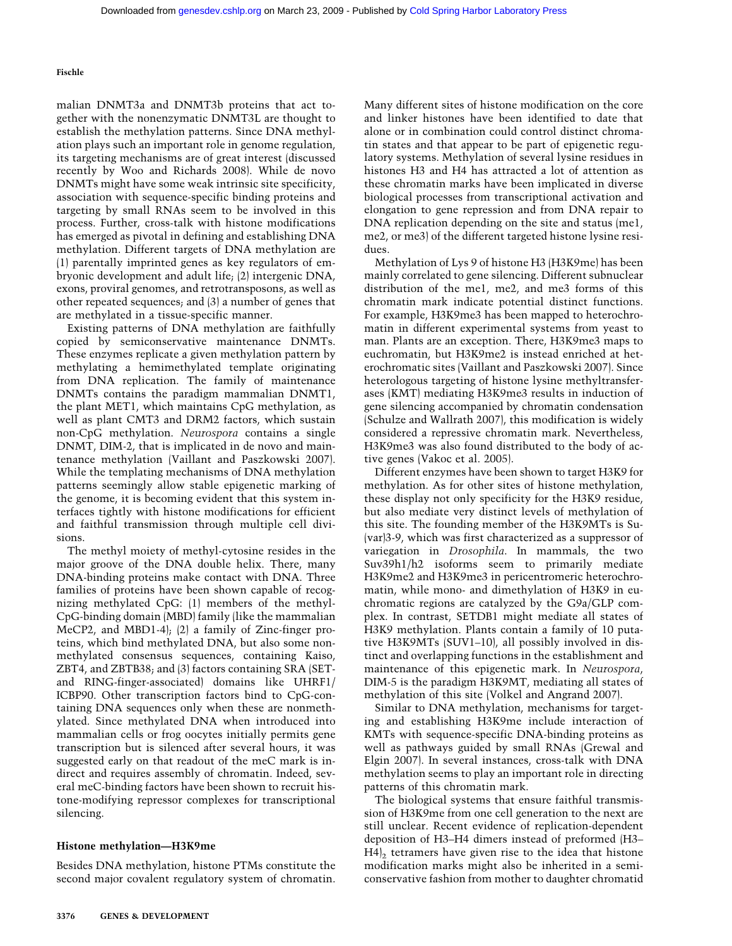malian DNMT3a and DNMT3b proteins that act together with the nonenzymatic DNMT3L are thought to establish the methylation patterns. Since DNA methylation plays such an important role in genome regulation, its targeting mechanisms are of great interest (discussed recently by Woo and Richards 2008). While de novo DNMTs might have some weak intrinsic site specificity, association with sequence-specific binding proteins and targeting by small RNAs seem to be involved in this process. Further, cross-talk with histone modifications has emerged as pivotal in defining and establishing DNA methylation. Different targets of DNA methylation are (1) parentally imprinted genes as key regulators of embryonic development and adult life; (2) intergenic DNA, exons, proviral genomes, and retrotransposons, as well as other repeated sequences; and (3) a number of genes that are methylated in a tissue-specific manner.

Existing patterns of DNA methylation are faithfully copied by semiconservative maintenance DNMTs. These enzymes replicate a given methylation pattern by methylating a hemimethylated template originating from DNA replication. The family of maintenance DNMTs contains the paradigm mammalian DNMT1, the plant MET1, which maintains CpG methylation, as well as plant CMT3 and DRM2 factors, which sustain non-CpG methylation. *Neurospora* contains a single DNMT, DIM-2, that is implicated in de novo and maintenance methylation (Vaillant and Paszkowski 2007). While the templating mechanisms of DNA methylation patterns seemingly allow stable epigenetic marking of the genome, it is becoming evident that this system interfaces tightly with histone modifications for efficient and faithful transmission through multiple cell divisions.

The methyl moiety of methyl-cytosine resides in the major groove of the DNA double helix. There, many DNA-binding proteins make contact with DNA. Three families of proteins have been shown capable of recognizing methylated CpG: (1) members of the methyl-CpG-binding domain (MBD) family (like the mammalian MeCP2, and MBD1-4); (2) a family of Zinc-finger proteins, which bind methylated DNA, but also some nonmethylated consensus sequences, containing Kaiso, ZBT4, and ZBTB38; and (3) factors containing SRA (SETand RING-finger-associated) domains like UHRF1/ ICBP90. Other transcription factors bind to CpG-containing DNA sequences only when these are nonmethylated. Since methylated DNA when introduced into mammalian cells or frog oocytes initially permits gene transcription but is silenced after several hours, it was suggested early on that readout of the meC mark is indirect and requires assembly of chromatin. Indeed, several meC-binding factors have been shown to recruit histone-modifying repressor complexes for transcriptional silencing.

## **Histone methylation—H3K9me**

Besides DNA methylation, histone PTMs constitute the second major covalent regulatory system of chromatin. Many different sites of histone modification on the core and linker histones have been identified to date that alone or in combination could control distinct chromatin states and that appear to be part of epigenetic regulatory systems. Methylation of several lysine residues in histones H3 and H4 has attracted a lot of attention as these chromatin marks have been implicated in diverse biological processes from transcriptional activation and elongation to gene repression and from DNA repair to DNA replication depending on the site and status (me1, me2, or me3) of the different targeted histone lysine residues.

Methylation of Lys 9 of histone H3 (H3K9me) has been mainly correlated to gene silencing. Different subnuclear distribution of the me1, me2, and me3 forms of this chromatin mark indicate potential distinct functions. For example, H3K9me3 has been mapped to heterochromatin in different experimental systems from yeast to man. Plants are an exception. There, H3K9me3 maps to euchromatin, but H3K9me2 is instead enriched at heterochromatic sites (Vaillant and Paszkowski 2007). Since heterologous targeting of histone lysine methyltransferases (KMT) mediating H3K9me3 results in induction of gene silencing accompanied by chromatin condensation (Schulze and Wallrath 2007), this modification is widely considered a repressive chromatin mark. Nevertheless, H3K9me3 was also found distributed to the body of active genes (Vakoc et al. 2005).

Different enzymes have been shown to target H3K9 for methylation. As for other sites of histone methylation, these display not only specificity for the H3K9 residue, but also mediate very distinct levels of methylation of this site. The founding member of the H3K9MTs is Su- (var)3-9, which was first characterized as a suppressor of variegation in *Drosophila*. In mammals, the two Suv39h1/h2 isoforms seem to primarily mediate H3K9me2 and H3K9me3 in pericentromeric heterochromatin, while mono- and dimethylation of H3K9 in euchromatic regions are catalyzed by the G9a/GLP complex. In contrast, SETDB1 might mediate all states of H3K9 methylation. Plants contain a family of 10 putative H3K9MTs (SUV1–10), all possibly involved in distinct and overlapping functions in the establishment and maintenance of this epigenetic mark. In *Neurospora*, DIM-5 is the paradigm H3K9MT, mediating all states of methylation of this site (Volkel and Angrand 2007).

Similar to DNA methylation, mechanisms for targeting and establishing H3K9me include interaction of KMTs with sequence-specific DNA-binding proteins as well as pathways guided by small RNAs (Grewal and Elgin 2007). In several instances, cross-talk with DNA methylation seems to play an important role in directing patterns of this chromatin mark.

The biological systems that ensure faithful transmission of H3K9me from one cell generation to the next are still unclear. Recent evidence of replication-dependent deposition of H3–H4 dimers instead of preformed (H3–  $H4<sub>2</sub>$  tetramers have given rise to the idea that histone modification marks might also be inherited in a semiconservative fashion from mother to daughter chromatid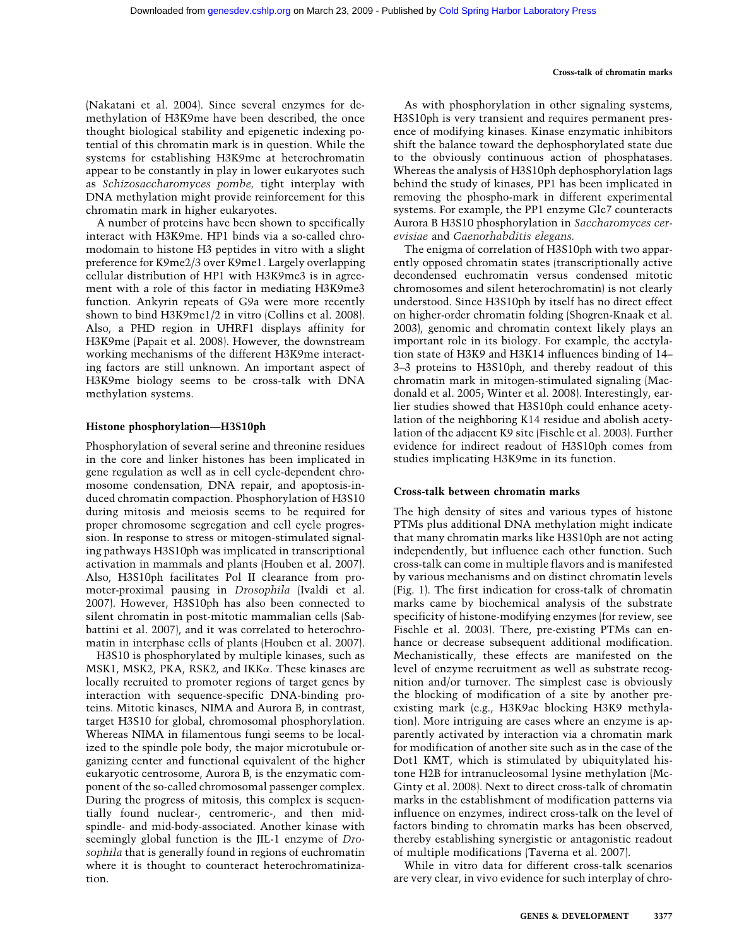#### **Cross-talk of chromatin marks**

(Nakatani et al. 2004). Since several enzymes for demethylation of H3K9me have been described, the once thought biological stability and epigenetic indexing potential of this chromatin mark is in question. While the systems for establishing H3K9me at heterochromatin appear to be constantly in play in lower eukaryotes such as *Schizosaccharomyces pombe,* tight interplay with DNA methylation might provide reinforcement for this chromatin mark in higher eukaryotes.

A number of proteins have been shown to specifically interact with H3K9me. HP1 binds via a so-called chromodomain to histone H3 peptides in vitro with a slight preference for K9me2/3 over K9me1. Largely overlapping cellular distribution of HP1 with H3K9me3 is in agreement with a role of this factor in mediating H3K9me3 function. Ankyrin repeats of G9a were more recently shown to bind H3K9me1/2 in vitro (Collins et al. 2008). Also, a PHD region in UHRF1 displays affinity for H3K9me (Papait et al. 2008). However, the downstream working mechanisms of the different H3K9me interacting factors are still unknown. An important aspect of H3K9me biology seems to be cross-talk with DNA methylation systems.

#### **Histone phosphorylation—H3S10ph**

Phosphorylation of several serine and threonine residues in the core and linker histones has been implicated in gene regulation as well as in cell cycle-dependent chromosome condensation, DNA repair, and apoptosis-induced chromatin compaction. Phosphorylation of H3S10 during mitosis and meiosis seems to be required for proper chromosome segregation and cell cycle progression. In response to stress or mitogen-stimulated signaling pathways H3S10ph was implicated in transcriptional activation in mammals and plants (Houben et al. 2007). Also, H3S10ph facilitates Pol II clearance from promoter-proximal pausing in *Drosophila* (Ivaldi et al. 2007). However, H3S10ph has also been connected to silent chromatin in post-mitotic mammalian cells (Sabbattini et al. 2007), and it was correlated to heterochromatin in interphase cells of plants (Houben et al. 2007).

H3S10 is phosphorylated by multiple kinases, such as MSK1, MSK2, PKA, RSK2, and IKK $\alpha$ . These kinases are locally recruited to promoter regions of target genes by interaction with sequence-specific DNA-binding proteins. Mitotic kinases, NIMA and Aurora B, in contrast, target H3S10 for global, chromosomal phosphorylation. Whereas NIMA in filamentous fungi seems to be localized to the spindle pole body, the major microtubule organizing center and functional equivalent of the higher eukaryotic centrosome, Aurora B, is the enzymatic component of the so-called chromosomal passenger complex. During the progress of mitosis, this complex is sequentially found nuclear-, centromeric-, and then midspindle- and mid-body-associated. Another kinase with seemingly global function is the JIL-1 enzyme of *Drosophila* that is generally found in regions of euchromatin where it is thought to counteract heterochromatinization.

As with phosphorylation in other signaling systems, H3S10ph is very transient and requires permanent presence of modifying kinases. Kinase enzymatic inhibitors shift the balance toward the dephosphorylated state due to the obviously continuous action of phosphatases. Whereas the analysis of H3S10ph dephosphorylation lags behind the study of kinases, PP1 has been implicated in removing the phospho-mark in different experimental systems. For example, the PP1 enzyme Glc7 counteracts Aurora B H3S10 phosphorylation in *Saccharomyces cerevisiae* and *Caenorhabditis elegans.*

The enigma of correlation of H3S10ph with two apparently opposed chromatin states (transcriptionally active decondensed euchromatin versus condensed mitotic chromosomes and silent heterochromatin) is not clearly understood. Since H3S10ph by itself has no direct effect on higher-order chromatin folding (Shogren-Knaak et al. 2003), genomic and chromatin context likely plays an important role in its biology. For example, the acetylation state of H3K9 and H3K14 influences binding of 14– 3–3 proteins to H3S10ph, and thereby readout of this chromatin mark in mitogen-stimulated signaling (Macdonald et al. 2005; Winter et al. 2008). Interestingly, earlier studies showed that H3S10ph could enhance acetylation of the neighboring K14 residue and abolish acetylation of the adjacent K9 site (Fischle et al. 2003). Further evidence for indirect readout of H3S10ph comes from studies implicating H3K9me in its function.

#### **Cross-talk between chromatin marks**

The high density of sites and various types of histone PTMs plus additional DNA methylation might indicate that many chromatin marks like H3S10ph are not acting independently, but influence each other function. Such cross-talk can come in multiple flavors and is manifested by various mechanisms and on distinct chromatin levels (Fig. 1). The first indication for cross-talk of chromatin marks came by biochemical analysis of the substrate specificity of histone-modifying enzymes (for review, see Fischle et al. 2003). There, pre-existing PTMs can enhance or decrease subsequent additional modification. Mechanistically, these effects are manifested on the level of enzyme recruitment as well as substrate recognition and/or turnover. The simplest case is obviously the blocking of modification of a site by another preexisting mark (e.g., H3K9ac blocking H3K9 methylation). More intriguing are cases where an enzyme is apparently activated by interaction via a chromatin mark for modification of another site such as in the case of the Dot1 KMT, which is stimulated by ubiquitylated histone H2B for intranucleosomal lysine methylation (Mc-Ginty et al. 2008). Next to direct cross-talk of chromatin marks in the establishment of modification patterns via influence on enzymes, indirect cross-talk on the level of factors binding to chromatin marks has been observed, thereby establishing synergistic or antagonistic readout of multiple modifications (Taverna et al. 2007).

While in vitro data for different cross-talk scenarios are very clear, in vivo evidence for such interplay of chro-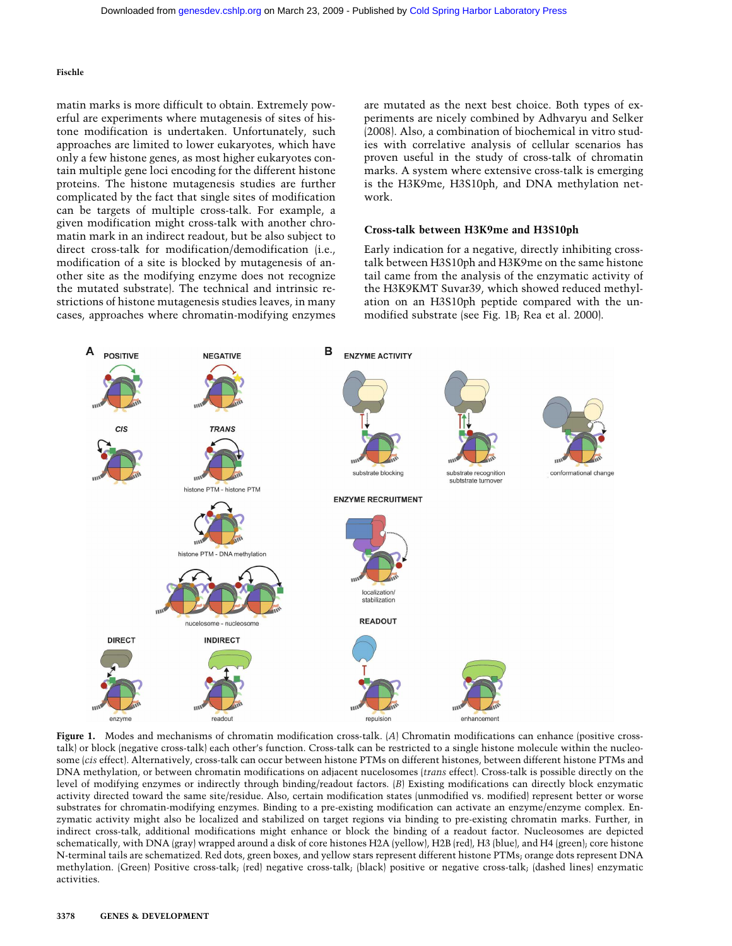matin marks is more difficult to obtain. Extremely powerful are experiments where mutagenesis of sites of histone modification is undertaken. Unfortunately, such approaches are limited to lower eukaryotes, which have only a few histone genes, as most higher eukaryotes contain multiple gene loci encoding for the different histone proteins. The histone mutagenesis studies are further complicated by the fact that single sites of modification can be targets of multiple cross-talk. For example, a given modification might cross-talk with another chromatin mark in an indirect readout, but be also subject to direct cross-talk for modification/demodification (i.e., modification of a site is blocked by mutagenesis of another site as the modifying enzyme does not recognize the mutated substrate). The technical and intrinsic restrictions of histone mutagenesis studies leaves, in many cases, approaches where chromatin-modifying enzymes are mutated as the next best choice. Both types of experiments are nicely combined by Adhvaryu and Selker (2008). Also, a combination of biochemical in vitro studies with correlative analysis of cellular scenarios has proven useful in the study of cross-talk of chromatin marks. A system where extensive cross-talk is emerging is the H3K9me, H3S10ph, and DNA methylation network.

# **Cross-talk between H3K9me and H3S10ph**

Early indication for a negative, directly inhibiting crosstalk between H3S10ph and H3K9me on the same histone tail came from the analysis of the enzymatic activity of the H3K9KMT Suvar39, which showed reduced methylation on an H3S10ph peptide compared with the unmodified substrate (see Fig. 1B; Rea et al. 2000).



**Figure 1.** Modes and mechanisms of chromatin modification cross-talk. (*A*) Chromatin modifications can enhance (positive crosstalk) or block (negative cross-talk) each other's function. Cross-talk can be restricted to a single histone molecule within the nucleosome (*cis* effect). Alternatively, cross-talk can occur between histone PTMs on different histones, between different histone PTMs and DNA methylation, or between chromatin modifications on adjacent nucelosomes (*trans* effect). Cross-talk is possible directly on the level of modifying enzymes or indirectly through binding/readout factors. (*B*) Existing modifications can directly block enzymatic activity directed toward the same site/residue. Also, certain modification states (unmodified vs. modified) represent better or worse substrates for chromatin-modifying enzymes. Binding to a pre-existing modification can activate an enzyme/enzyme complex. Enzymatic activity might also be localized and stabilized on target regions via binding to pre-existing chromatin marks. Further, in indirect cross-talk, additional modifications might enhance or block the binding of a readout factor. Nucleosomes are depicted schematically, with DNA (gray) wrapped around a disk of core histones H2A (yellow), H2B (red), H3 (blue), and H4 (green); core histone N-terminal tails are schematized. Red dots, green boxes, and yellow stars represent different histone PTMs; orange dots represent DNA methylation. (Green) Positive cross-talk; (red) negative cross-talk; (black) positive or negative cross-talk; (dashed lines) enzymatic activities.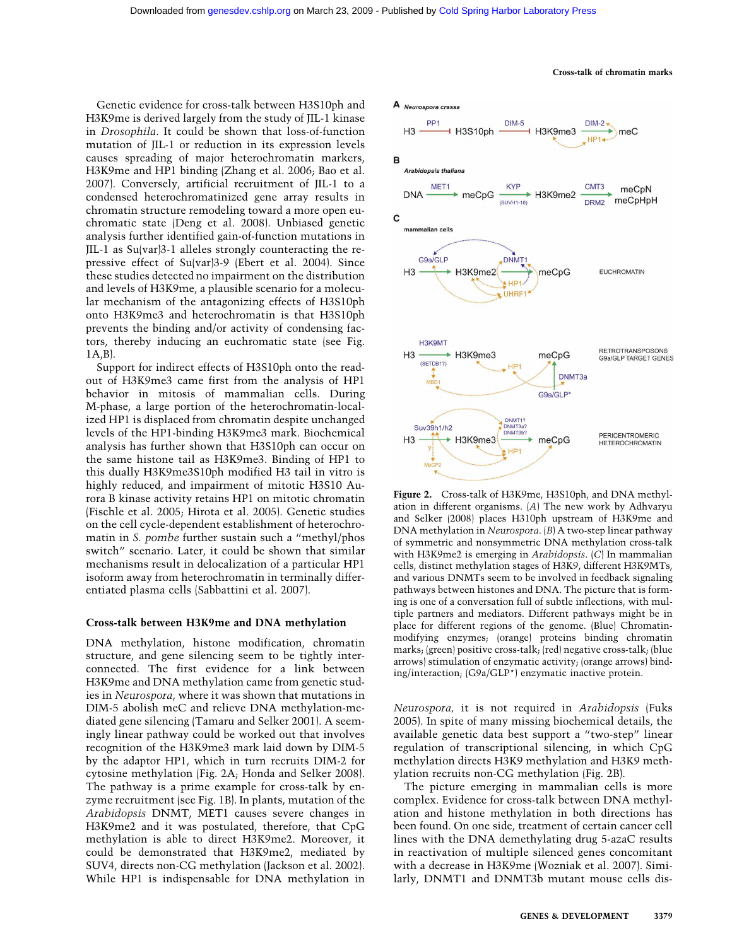Genetic evidence for cross-talk between H3S10ph and H3K9me is derived largely from the study of JIL-1 kinase in *Drosophila*. It could be shown that loss-of-function mutation of JIL-1 or reduction in its expression levels causes spreading of major heterochromatin markers, H3K9me and HP1 binding (Zhang et al. 2006; Bao et al. 2007). Conversely, artificial recruitment of JIL-1 to a condensed heterochromatinized gene array results in chromatin structure remodeling toward a more open euchromatic state (Deng et al. 2008). Unbiased genetic analysis further identified gain-of-function mutations in JIL-1 as Su(var)3-1 alleles strongly counteracting the repressive effect of Su(var)3-9 (Ebert et al. 2004). Since these studies detected no impairment on the distribution and levels of H3K9me, a plausible scenario for a molecular mechanism of the antagonizing effects of H3S10ph onto H3K9me3 and heterochromatin is that H3S10ph prevents the binding and/or activity of condensing factors, thereby inducing an euchromatic state (see Fig. 1A,B).

Support for indirect effects of H3S10ph onto the readout of H3K9me3 came first from the analysis of HP1 behavior in mitosis of mammalian cells. During M-phase, a large portion of the heterochromatin-localized HP1 is displaced from chromatin despite unchanged levels of the HP1-binding H3K9me3 mark. Biochemical analysis has further shown that H3S10ph can occur on the same histone tail as H3K9me3. Binding of HP1 to this dually H3K9me3S10ph modified H3 tail in vitro is highly reduced, and impairment of mitotic H3S10 Aurora B kinase activity retains HP1 on mitotic chromatin (Fischle et al. 2005; Hirota et al. 2005). Genetic studies on the cell cycle-dependent establishment of heterochromatin in *S. pombe* further sustain such a "methyl/phos switch" scenario. Later, it could be shown that similar mechanisms result in delocalization of a particular HP1 isoform away from heterochromatin in terminally differentiated plasma cells (Sabbattini et al. 2007).

#### **Cross-talk between H3K9me and DNA methylation**

DNA methylation, histone modification, chromatin structure, and gene silencing seem to be tightly interconnected. The first evidence for a link between H3K9me and DNA methylation came from genetic studies in *Neurospora*, where it was shown that mutations in DIM-5 abolish meC and relieve DNA methylation-mediated gene silencing (Tamaru and Selker 2001). A seemingly linear pathway could be worked out that involves recognition of the H3K9me3 mark laid down by DIM-5 by the adaptor HP1, which in turn recruits DIM-2 for cytosine methylation (Fig. 2A; Honda and Selker 2008). The pathway is a prime example for cross-talk by enzyme recruitment (see Fig. 1B). In plants, mutation of the *Arabidopsis* DNMT, MET1 causes severe changes in H3K9me2 and it was postulated, therefore, that CpG methylation is able to direct H3K9me2. Moreover, it could be demonstrated that H3K9me2, mediated by SUV4, directs non-CG methylation (Jackson et al. 2002). While HP1 is indispensable for DNA methylation in



**Figure 2.** Cross-talk of H3K9me, H3S10ph, and DNA methylation in different organisms. (*A*) The new work by Adhvaryu and Selker (2008) places H310ph upstream of H3K9me and DNA methylation in *Neurospora*. (*B*) A two-step linear pathway of symmetric and nonsymmetric DNA methylation cross-talk with H3K9me2 is emerging in *Arabidopsis*. (*C*) In mammalian cells, distinct methylation stages of H3K9, different H3K9MTs, and various DNMTs seem to be involved in feedback signaling pathways between histones and DNA. The picture that is forming is one of a conversation full of subtle inflections, with multiple partners and mediators. Different pathways might be in place for different regions of the genome. (Blue) Chromatinmodifying enzymes; (orange) proteins binding chromatin marks; (green) positive cross-talk; (red) negative cross-talk; (blue arrows) stimulation of enzymatic activity; (orange arrows) binding/interaction; (G9a/GLP\*) enzymatic inactive protein.

*Neurospora,* it is not required in *Arabidopsis* (Fuks 2005). In spite of many missing biochemical details, the available genetic data best support a "two-step" linear regulation of transcriptional silencing, in which CpG methylation directs H3K9 methylation and H3K9 methylation recruits non-CG methylation (Fig. 2B).

The picture emerging in mammalian cells is more complex. Evidence for cross-talk between DNA methylation and histone methylation in both directions has been found. On one side, treatment of certain cancer cell lines with the DNA demethylating drug 5-azaC results in reactivation of multiple silenced genes concomitant with a decrease in H3K9me (Wozniak et al. 2007). Similarly, DNMT1 and DNMT3b mutant mouse cells dis-

#### **Cross-talk of chromatin marks**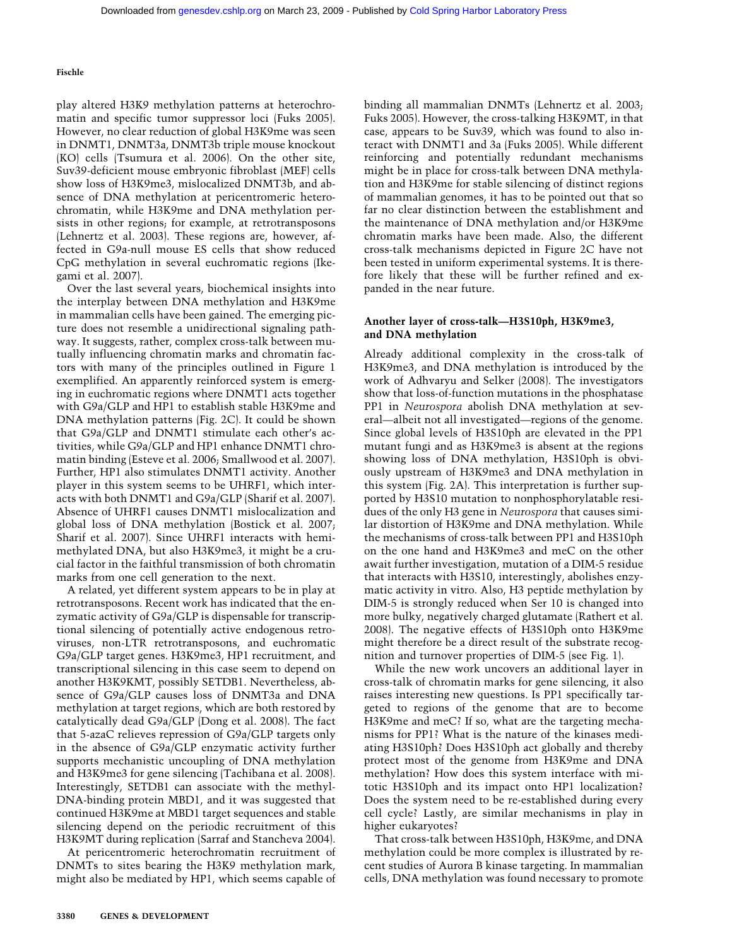play altered H3K9 methylation patterns at heterochromatin and specific tumor suppressor loci (Fuks 2005). However, no clear reduction of global H3K9me was seen in DNMT1, DNMT3a, DNMT3b triple mouse knockout (KO) cells (Tsumura et al. 2006). On the other site, Suv39-deficient mouse embryonic fibroblast (MEF) cells show loss of H3K9me3, mislocalized DNMT3b, and absence of DNA methylation at pericentromeric heterochromatin, while H3K9me and DNA methylation persists in other regions; for example, at retrotransposons (Lehnertz et al. 2003). These regions are, however, affected in G9a-null mouse ES cells that show reduced CpG methylation in several euchromatic regions (Ikegami et al. 2007).

Over the last several years, biochemical insights into the interplay between DNA methylation and H3K9me in mammalian cells have been gained. The emerging picture does not resemble a unidirectional signaling pathway. It suggests, rather, complex cross-talk between mutually influencing chromatin marks and chromatin factors with many of the principles outlined in Figure 1 exemplified. An apparently reinforced system is emerging in euchromatic regions where DNMT1 acts together with G9a/GLP and HP1 to establish stable H3K9me and DNA methylation patterns (Fig. 2C). It could be shown that G9a/GLP and DNMT1 stimulate each other's activities, while G9a/GLP and HP1 enhance DNMT1 chromatin binding (Esteve et al. 2006; Smallwood et al. 2007). Further, HP1 also stimulates DNMT1 activity. Another player in this system seems to be UHRF1, which interacts with both DNMT1 and G9a/GLP (Sharif et al. 2007). Absence of UHRF1 causes DNMT1 mislocalization and global loss of DNA methylation (Bostick et al. 2007; Sharif et al. 2007). Since UHRF1 interacts with hemimethylated DNA, but also H3K9me3, it might be a crucial factor in the faithful transmission of both chromatin marks from one cell generation to the next.

A related, yet different system appears to be in play at retrotransposons. Recent work has indicated that the enzymatic activity of G9a/GLP is dispensable for transcriptional silencing of potentially active endogenous retroviruses, non-LTR retrotransposons, and euchromatic G9a/GLP target genes. H3K9me3, HP1 recruitment, and transcriptional silencing in this case seem to depend on another H3K9KMT, possibly SETDB1. Nevertheless, absence of G9a/GLP causes loss of DNMT3a and DNA methylation at target regions, which are both restored by catalytically dead G9a/GLP (Dong et al. 2008). The fact that 5-azaC relieves repression of G9a/GLP targets only in the absence of G9a/GLP enzymatic activity further supports mechanistic uncoupling of DNA methylation and H3K9me3 for gene silencing (Tachibana et al. 2008). Interestingly, SETDB1 can associate with the methyl-DNA-binding protein MBD1, and it was suggested that continued H3K9me at MBD1 target sequences and stable silencing depend on the periodic recruitment of this H3K9MT during replication (Sarraf and Stancheva 2004).

At pericentromeric heterochromatin recruitment of DNMTs to sites bearing the H3K9 methylation mark, might also be mediated by HP1, which seems capable of binding all mammalian DNMTs (Lehnertz et al. 2003; Fuks 2005). However, the cross-talking H3K9MT, in that case, appears to be Suv39, which was found to also interact with DNMT1 and 3a (Fuks 2005). While different reinforcing and potentially redundant mechanisms might be in place for cross-talk between DNA methylation and H3K9me for stable silencing of distinct regions of mammalian genomes, it has to be pointed out that so far no clear distinction between the establishment and the maintenance of DNA methylation and/or H3K9me chromatin marks have been made. Also, the different cross-talk mechanisms depicted in Figure 2C have not been tested in uniform experimental systems. It is therefore likely that these will be further refined and expanded in the near future.

# **Another layer of cross-talk—H3S10ph, H3K9me3, and DNA methylation**

Already additional complexity in the cross-talk of H3K9me3, and DNA methylation is introduced by the work of Adhvaryu and Selker (2008). The investigators show that loss-of-function mutations in the phosphatase PP1 in *Neurospora* abolish DNA methylation at several—albeit not all investigated—regions of the genome. Since global levels of H3S10ph are elevated in the PP1 mutant fungi and as H3K9me3 is absent at the regions showing loss of DNA methylation, H3S10ph is obviously upstream of H3K9me3 and DNA methylation in this system (Fig. 2A). This interpretation is further supported by H3S10 mutation to nonphosphorylatable residues of the only H3 gene in *Neurospora* that causes similar distortion of H3K9me and DNA methylation. While the mechanisms of cross-talk between PP1 and H3S10ph on the one hand and H3K9me3 and meC on the other await further investigation, mutation of a DIM-5 residue that interacts with H3S10, interestingly, abolishes enzymatic activity in vitro. Also, H3 peptide methylation by DIM-5 is strongly reduced when Ser 10 is changed into more bulky, negatively charged glutamate (Rathert et al. 2008). The negative effects of H3S10ph onto H3K9me might therefore be a direct result of the substrate recognition and turnover properties of DIM-5 (see Fig. 1).

While the new work uncovers an additional layer in cross-talk of chromatin marks for gene silencing, it also raises interesting new questions. Is PP1 specifically targeted to regions of the genome that are to become H3K9me and meC? If so, what are the targeting mechanisms for PP1? What is the nature of the kinases mediating H3S10ph? Does H3S10ph act globally and thereby protect most of the genome from H3K9me and DNA methylation? How does this system interface with mitotic H3S10ph and its impact onto HP1 localization? Does the system need to be re-established during every cell cycle? Lastly, are similar mechanisms in play in higher eukaryotes?

That cross-talk between H3S10ph, H3K9me, and DNA methylation could be more complex is illustrated by recent studies of Aurora B kinase targeting. In mammalian cells, DNA methylation was found necessary to promote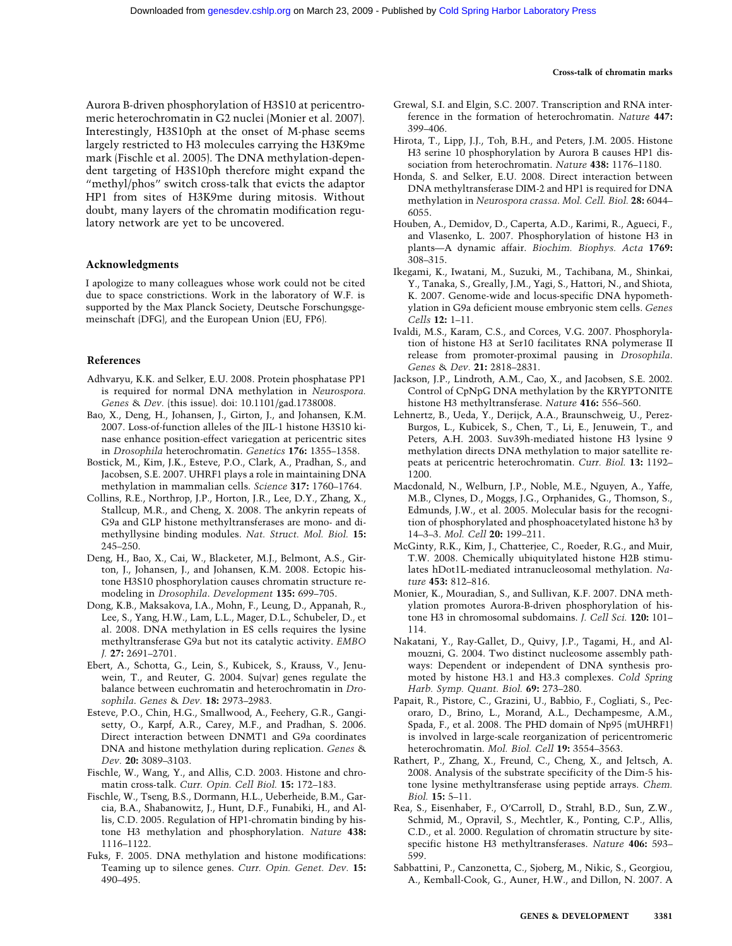#### **Cross-talk of chromatin marks**

Aurora B-driven phosphorylation of H3S10 at pericentromeric heterochromatin in G2 nuclei (Monier et al. 2007). Interestingly, H3S10ph at the onset of M-phase seems largely restricted to H3 molecules carrying the H3K9me mark (Fischle et al. 2005). The DNA methylation-dependent targeting of H3S10ph therefore might expand the "methyl/phos" switch cross-talk that evicts the adaptor HP1 from sites of H3K9me during mitosis. Without doubt, many layers of the chromatin modification regulatory network are yet to be uncovered.

#### **Acknowledgments**

I apologize to many colleagues whose work could not be cited due to space constrictions. Work in the laboratory of W.F. is supported by the Max Planck Society, Deutsche Forschungsgemeinschaft (DFG), and the European Union (EU, FP6).

## **References**

- Adhvaryu, K.K. and Selker, E.U. 2008. Protein phosphatase PP1 is required for normal DNA methylation in *Neurospora. Genes* & *Dev.* (this issue). doi: 10.1101/gad.1738008.
- Bao, X., Deng, H., Johansen, J., Girton, J., and Johansen, K.M. 2007. Loss-of-function alleles of the JIL-1 histone H3S10 kinase enhance position-effect variegation at pericentric sites in *Drosophila* heterochromatin. *Genetics* **176:** 1355–1358.
- Bostick, M., Kim, J.K., Esteve, P.O., Clark, A., Pradhan, S., and Jacobsen, S.E. 2007. UHRF1 plays a role in maintaining DNA methylation in mammalian cells. *Science* **317:** 1760–1764.
- Collins, R.E., Northrop, J.P., Horton, J.R., Lee, D.Y., Zhang, X., Stallcup, M.R., and Cheng, X. 2008. The ankyrin repeats of G9a and GLP histone methyltransferases are mono- and dimethyllysine binding modules. *Nat. Struct. Mol. Biol.* **15:** 245–250.
- Deng, H., Bao, X., Cai, W., Blacketer, M.J., Belmont, A.S., Girton, J., Johansen, J., and Johansen, K.M. 2008. Ectopic histone H3S10 phosphorylation causes chromatin structure remodeling in *Drosophila*. *Development* **135:** 699–705.
- Dong, K.B., Maksakova, I.A., Mohn, F., Leung, D., Appanah, R., Lee, S., Yang, H.W., Lam, L.L., Mager, D.L., Schubeler, D., et al. 2008. DNA methylation in ES cells requires the lysine methyltransferase G9a but not its catalytic activity. *EMBO J.* **27:** 2691–2701.
- Ebert, A., Schotta, G., Lein, S., Kubicek, S., Krauss, V., Jenuwein, T., and Reuter, G. 2004. Su(var) genes regulate the balance between euchromatin and heterochromatin in *Drosophila*. *Genes* & *Dev.* **18:** 2973–2983.
- Esteve, P.O., Chin, H.G., Smallwood, A., Feehery, G.R., Gangisetty, O., Karpf, A.R., Carey, M.F., and Pradhan, S. 2006. Direct interaction between DNMT1 and G9a coordinates DNA and histone methylation during replication. *Genes* & *Dev.* **20:** 3089–3103.
- Fischle, W., Wang, Y., and Allis, C.D. 2003. Histone and chromatin cross-talk. *Curr. Opin. Cell Biol.* **15:** 172–183.
- Fischle, W., Tseng, B.S., Dormann, H.L., Ueberheide, B.M., Garcia, B.A., Shabanowitz, J., Hunt, D.F., Funabiki, H., and Allis, C.D. 2005. Regulation of HP1-chromatin binding by histone H3 methylation and phosphorylation. *Nature* **438:** 1116–1122.
- Fuks, F. 2005. DNA methylation and histone modifications: Teaming up to silence genes. *Curr. Opin. Genet. Dev.* **15:** 490–495.
- Grewal, S.I. and Elgin, S.C. 2007. Transcription and RNA interference in the formation of heterochromatin. *Nature* **447:** 399–406.
- Hirota, T., Lipp, J.J., Toh, B.H., and Peters, J.M. 2005. Histone H3 serine 10 phosphorylation by Aurora B causes HP1 dissociation from heterochromatin. *Nature* **438:** 1176–1180.
- Honda, S. and Selker, E.U. 2008. Direct interaction between DNA methyltransferase DIM-2 and HP1 is required for DNA methylation in *Neurospora crassa*. *Mol. Cell. Biol.* **28:** 6044– 6055.
- Houben, A., Demidov, D., Caperta, A.D., Karimi, R., Agueci, F., and Vlasenko, L. 2007. Phosphorylation of histone H3 in plants—A dynamic affair. *Biochim. Biophys. Acta* **1769:** 308–315.
- Ikegami, K., Iwatani, M., Suzuki, M., Tachibana, M., Shinkai, Y., Tanaka, S., Greally, J.M., Yagi, S., Hattori, N., and Shiota, K. 2007. Genome-wide and locus-specific DNA hypomethylation in G9a deficient mouse embryonic stem cells. *Genes Cells* **12:** 1–11.
- Ivaldi, M.S., Karam, C.S., and Corces, V.G. 2007. Phosphorylation of histone H3 at Ser10 facilitates RNA polymerase II release from promoter-proximal pausing in *Drosophila*. *Genes* & *Dev.* **21:** 2818–2831.
- Jackson, J.P., Lindroth, A.M., Cao, X., and Jacobsen, S.E. 2002. Control of CpNpG DNA methylation by the KRYPTONITE histone H3 methyltransferase. *Nature* **416:** 556–560.
- Lehnertz, B., Ueda, Y., Derijck, A.A., Braunschweig, U., Perez-Burgos, L., Kubicek, S., Chen, T., Li, E., Jenuwein, T., and Peters, A.H. 2003. Suv39h-mediated histone H3 lysine 9 methylation directs DNA methylation to major satellite repeats at pericentric heterochromatin. *Curr. Biol.* **13:** 1192– 1200.
- Macdonald, N., Welburn, J.P., Noble, M.E., Nguyen, A., Yaffe, M.B., Clynes, D., Moggs, J.G., Orphanides, G., Thomson, S., Edmunds, J.W., et al. 2005. Molecular basis for the recognition of phosphorylated and phosphoacetylated histone h3 by 14–3–3. *Mol. Cell* **20:** 199–211.
- McGinty, R.K., Kim, J., Chatterjee, C., Roeder, R.G., and Muir, T.W. 2008. Chemically ubiquitylated histone H2B stimulates hDot1L-mediated intranucleosomal methylation. *Nature* **453:** 812–816.
- Monier, K., Mouradian, S., and Sullivan, K.F. 2007. DNA methylation promotes Aurora-B-driven phosphorylation of histone H3 in chromosomal subdomains. *J. Cell Sci.* **120:** 101– 114.
- Nakatani, Y., Ray-Gallet, D., Quivy, J.P., Tagami, H., and Almouzni, G. 2004. Two distinct nucleosome assembly pathways: Dependent or independent of DNA synthesis promoted by histone H3.1 and H3.3 complexes. *Cold Spring Harb. Symp. Quant. Biol.* **69:** 273–280.
- Papait, R., Pistore, C., Grazini, U., Babbio, F., Cogliati, S., Pecoraro, D., Brino, L., Morand, A.L., Dechampesme, A.M., Spada, F., et al. 2008. The PHD domain of Np95 (mUHRF1) is involved in large-scale reorganization of pericentromeric heterochromatin. *Mol. Biol. Cell* **19:** 3554–3563.
- Rathert, P., Zhang, X., Freund, C., Cheng, X., and Jeltsch, A. 2008. Analysis of the substrate specificity of the Dim-5 histone lysine methyltransferase using peptide arrays. *Chem. Biol.* **15:** 5–11.
- Rea, S., Eisenhaber, F., O'Carroll, D., Strahl, B.D., Sun, Z.W., Schmid, M., Opravil, S., Mechtler, K., Ponting, C.P., Allis, C.D., et al. 2000. Regulation of chromatin structure by sitespecific histone H3 methyltransferases. *Nature* **406:** 593– 599.
- Sabbattini, P., Canzonetta, C., Sjoberg, M., Nikic, S., Georgiou, A., Kemball-Cook, G., Auner, H.W., and Dillon, N. 2007. A